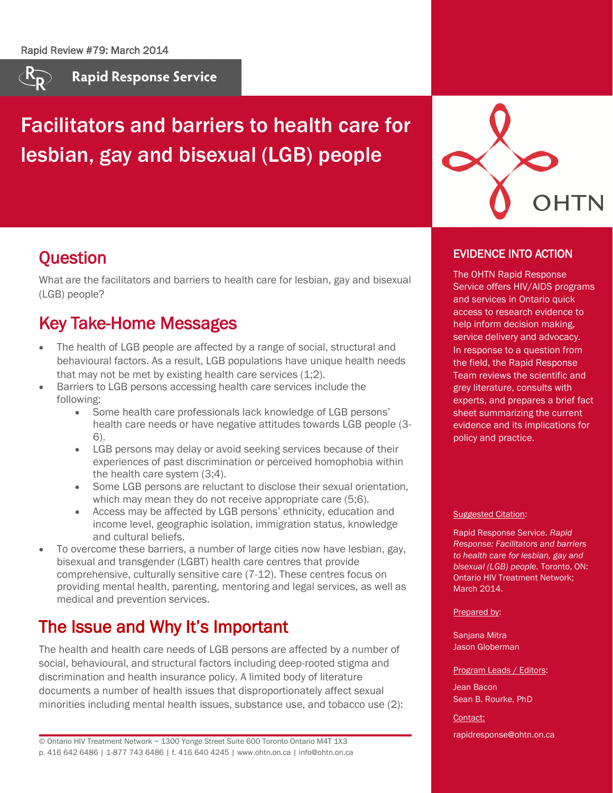

**Rapid Response Service** 

# Facilitators and barriers to health care for lesbian, gay and bisexual (LGB) people



### **Question**

What are the facilitators and barriers to health care for lesbian, gay and bisexual (LGB) people?

## Key Take-Home Messages

- The health of LGB people are affected by a range of social, structural and behavioural factors. As a result, LGB populations have unique health needs that may not be met by existing health care services (1;2).
- Barriers to LGB persons accessing health care services include the following:
	- Some health care professionals lack knowledge of LGB persons' health care needs or have negative attitudes towards LGB people (3- 6).
	- LGB persons may delay or avoid seeking services because of their experiences of past discrimination or perceived homophobia within the health care system (3;4).
	- Some LGB persons are reluctant to disclose their sexual orientation, which may mean they do not receive appropriate care (5;6).
	- Access may be affected by LGB persons' ethnicity, education and income level, geographic isolation, immigration status, knowledge and cultural beliefs.
- To overcome these barriers, a number of large cities now have lesbian, gay, bisexual and transgender (LGBT) health care centres that provide comprehensive, culturally sensitive care (7-12). These centres focus on providing mental health, parenting, mentoring and legal services, as well as medical and prevention services.

# The Issue and Why It's Important

The health and health care needs of LGB persons are affected by a number of social, behavioural, and structural factors including deep-rooted stigma and discrimination and health insurance policy. A limited body of literature documents a number of health issues that disproportionately affect sexual minorities including mental health issues, substance use, and tobacco use (2):

© Ontario HIV Treatment Network ~ 1300 Yonge Street Suite 600 Toronto Ontario M4T 1X3 p. 416 642 6486 | 1-877 743 6486 | f. 416 640 4245 | www.ohtn.on.ca | info@ohtn.on.ca

#### EVIDENCE INTO ACTION

The OHTN Rapid Response Service offers HIV/AIDS programs and services in Ontario quick access to research evidence to help inform decision making, service delivery and advocacy. In response to a question from the field, the Rapid Response Team reviews the scientific and grey literature, consults with experts, and prepares a brief fact sheet summarizing the current evidence and its implications for policy and practice.

#### Suggested Citation:

Rapid Response Service. *Rapid Response: Facilitators and barriers to health care for lesbian, gay and bisexual (LGB) people.* Toronto, ON: Ontario HIV Treatment Network; **March 2014.** 

#### Prepared by:

Sanjana Mitra Jason Globerman

#### Program Leads / Editors:

Jean Bacon Sean B. Rourke, PhD

#### Contact:

rapidresponse@ohtn.on.ca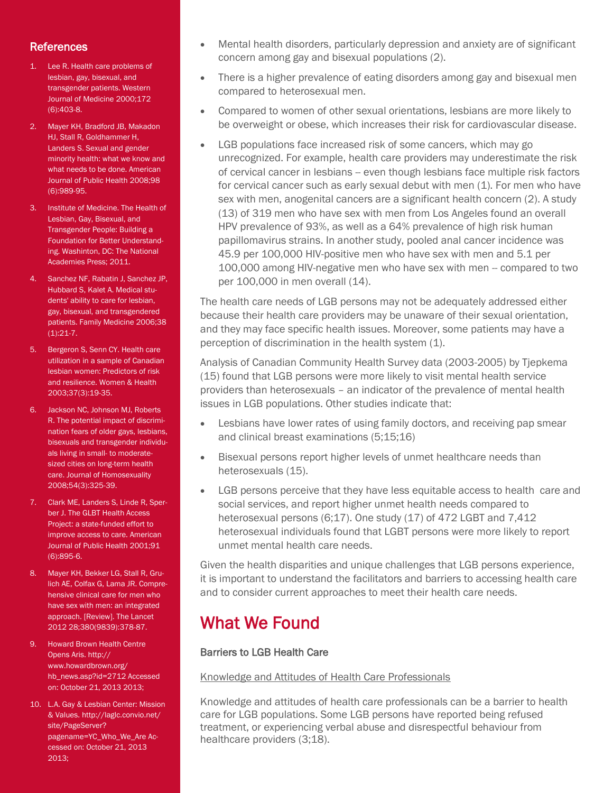#### **References**

- 1. Lee R. Health care problems of lesbian, gay, bisexual, and transgender patients. Western Journal of Medicine 2000;172 (6):403-8.
- 2. Mayer KH, Bradford JB, Makadon HJ, Stall R, Goldhammer H, Landers S. Sexual and gender minority health: what we know and what needs to be done. American Journal of Public Health 2008;98 (6):989-95.
- 3. Institute of Medicine. The Health of Lesbian, Gay, Bisexual, and Transgender People: Building a Foundation for Better Understanding. Washinton, DC: The National Academies Press; 2011.
- 4. Sanchez NF, Rabatin J, Sanchez JP, Hubbard S, Kalet A. Medical students' ability to care for lesbian, gay, bisexual, and transgendered patients. Family Medicine 2006;38 (1):21-7.
- 5. Bergeron S, Senn CY. Health care utilization in a sample of Canadian lesbian women: Predictors of risk and resilience. Women & Health 2003;37(3):19-35.
- 6. Jackson NC, Johnson MJ, Roberts R. The potential impact of discrimination fears of older gays, lesbians, bisexuals and transgender individuals living in small- to moderatesized cities on long-term health care. Journal of Homosexuality 2008;54(3):325-39.
- 7. Clark ME, Landers S, Linde R, Sperber J. The GLBT Health Access Project: a state-funded effort to improve access to care. American Journal of Public Health 2001;91 (6):895-6.
- 8. Mayer KH, Bekker LG, Stall R, Grulich AE, Colfax G, Lama JR. Comprehensive clinical care for men who have sex with men: an integrated approach. [Review]. The Lancet 2012 28;380(9839):378-87.
- 9. Howard Brown Health Centre Opens Aris. http:// www.howardbrown.org/ hb\_news.asp?id=2712 Accessed on: October 21, 2013 2013;
- 10. L.A. Gay & Lesbian Center: Mission & Values. http://laglc.convio.net/ site/PageServer? pagename=YC\_Who\_We\_Are Accessed on: October 21, 2013 2013;
- Mental health disorders, particularly depression and anxiety are of significant concern among gay and bisexual populations (2).
- There is a higher prevalence of eating disorders among gay and bisexual men compared to heterosexual men.
- Compared to women of other sexual orientations, lesbians are more likely to be overweight or obese, which increases their risk for cardiovascular disease.
- LGB populations face increased risk of some cancers, which may go unrecognized. For example, health care providers may underestimate the risk of cervical cancer in lesbians – even though lesbians face multiple risk factors for cervical cancer such as early sexual debut with men (1). For men who have sex with men, anogenital cancers are a significant health concern (2). A study (13) of 319 men who have sex with men from Los Angeles found an overall HPV prevalence of 93%, as well as a 64% prevalence of high risk human papillomavirus strains. In another study, pooled anal cancer incidence was 45.9 per 100,000 HIV-positive men who have sex with men and 5.1 per 100,000 among HIV-negative men who have sex with men -- compared to two per 100,000 in men overall (14).

The health care needs of LGB persons may not be adequately addressed either because their health care providers may be unaware of their sexual orientation, and they may face specific health issues. Moreover, some patients may have a perception of discrimination in the health system (1).

Analysis of Canadian Community Health Survey data (2003-2005) by Tjepkema (15) found that LGB persons were more likely to visit mental health service providers than heterosexuals – an indicator of the prevalence of mental health issues in LGB populations. Other studies indicate that:

- Lesbians have lower rates of using family doctors, and receiving pap smear and clinical breast examinations (5;15;16)
- Bisexual persons report higher levels of unmet healthcare needs than heterosexuals (15).
- LGB persons perceive that they have less equitable access to health care and social services, and report higher unmet health needs compared to heterosexual persons (6;17). One study (17) of 472 LGBT and 7,412 heterosexual individuals found that LGBT persons were more likely to report unmet mental health care needs.

Given the health disparities and unique challenges that LGB persons experience, it is important to understand the facilitators and barriers to accessing health care and to consider current approaches to meet their health care needs.

### What We Found

#### Barriers to LGB Health Care

Knowledge and Attitudes of Health Care Professionals

Knowledge and attitudes of health care professionals can be a barrier to health care for LGB populations. Some LGB persons have reported being refused treatment, or experiencing verbal abuse and disrespectful behaviour from healthcare providers (3;18).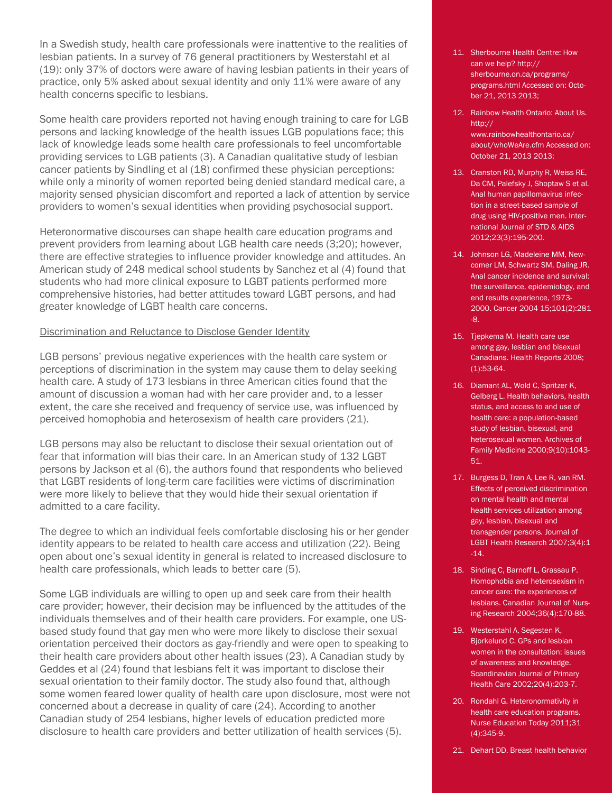In a Swedish study, health care professionals were inattentive to the realities of lesbian patients. In a survey of 76 general practitioners by Westerstahl et al (19): only 37% of doctors were aware of having lesbian patients in their years of practice, only 5% asked about sexual identity and only 11% were aware of any health concerns specific to lesbians.

Some health care providers reported not having enough training to care for LGB persons and lacking knowledge of the health issues LGB populations face; this lack of knowledge leads some health care professionals to feel uncomfortable providing services to LGB patients (3). A Canadian qualitative study of lesbian cancer patients by Sindling et al (18) confirmed these physician perceptions: while only a minority of women reported being denied standard medical care, a majority sensed physician discomfort and reported a lack of attention by service providers to women's sexual identities when providing psychosocial support.

Heteronormative discourses can shape health care education programs and prevent providers from learning about LGB health care needs (3;20); however, there are effective strategies to influence provider knowledge and attitudes. An American study of 248 medical school students by Sanchez et al (4) found that students who had more clinical exposure to LGBT patients performed more comprehensive histories, had better attitudes toward LGBT persons, and had greater knowledge of LGBT health care concerns.

#### Discrimination and Reluctance to Disclose Gender Identity

LGB persons' previous negative experiences with the health care system or perceptions of discrimination in the system may cause them to delay seeking health care. A study of 173 lesbians in three American cities found that the amount of discussion a woman had with her care provider and, to a lesser extent, the care she received and frequency of service use, was influenced by perceived homophobia and heterosexism of health care providers (21).

LGB persons may also be reluctant to disclose their sexual orientation out of fear that information will bias their care. In an American study of 132 LGBT persons by Jackson et al (6), the authors found that respondents who believed that LGBT residents of long-term care facilities were victims of discrimination were more likely to believe that they would hide their sexual orientation if admitted to a care facility.

The degree to which an individual feels comfortable disclosing his or her gender identity appears to be related to health care access and utilization (22). Being open about one's sexual identity in general is related to increased disclosure to health care professionals, which leads to better care (5).

Some LGB individuals are willing to open up and seek care from their health care provider; however, their decision may be influenced by the attitudes of the individuals themselves and of their health care providers. For example, one USbased study found that gay men who were more likely to disclose their sexual orientation perceived their doctors as gay-friendly and were open to speaking to their health care providers about other health issues (23). A Canadian study by Geddes et al (24) found that lesbians felt it was important to disclose their sexual orientation to their family doctor. The study also found that, although some women feared lower quality of health care upon disclosure, most were not concerned about a decrease in quality of care (24). According to another Canadian study of 254 lesbians, higher levels of education predicted more disclosure to health care providers and better utilization of health services (5).

- 11. Sherbourne Health Centre: How can we help? http:// sherbourne.on.ca/programs/ programs.html Accessed on: October 21, 2013 2013;
- 12. Rainbow Health Ontario: About Us. http:// www.rainbowhealthontario.ca/ about/whoWeAre.cfm Accessed on: October 21, 2013 2013;
- 13. Cranston RD, Murphy R, Weiss RE, Da CM, Palefsky J, Shoptaw S et al. Anal human papillomavirus infection in a street-based sample of drug using HIV-positive men. International Journal of STD & AIDS 2012;23(3):195-200.
- 14. Johnson LG, Madeleine MM, Newcomer LM, Schwartz SM, Daling JR. Anal cancer incidence and survival: the surveillance, epidemiology, and end results experience, 1973- 2000. Cancer 2004 15;101(2):281 -8.
- 15. Tjepkema M. Health care use among gay, lesbian and bisexual Canadians. Health Reports 2008; (1):53-64.
- 16. Diamant AL, Wold C, Spritzer K, Gelberg L. Health behaviors, health status, and access to and use of health care: a population-based study of lesbian, bisexual, and heterosexual women. Archives of Family Medicine 2000;9(10):1043- 51.
- 17. Burgess D, Tran A, Lee R, van RM. Effects of perceived discrimination on mental health and mental health services utilization among gay, lesbian, bisexual and transgender persons. Journal of LGBT Health Research 2007;3(4):1 -14.
- 18. Sinding C, Barnoff L, Grassau P. Homophobia and heterosexism in cancer care: the experiences of lesbians. Canadian Journal of Nursing Research 2004;36(4):170-88.
- 19. Westerstahl A, Segesten K, Bjorkelund C. GPs and lesbian women in the consultation: issues of awareness and knowledge. Scandinavian Journal of Primary Health Care 2002;20(4):203-7.
- 20. Rondahl G. Heteronormativity in health care education programs. Nurse Education Today 2011;31 (4):345-9.
- 21. Dehart DD. Breast health behavior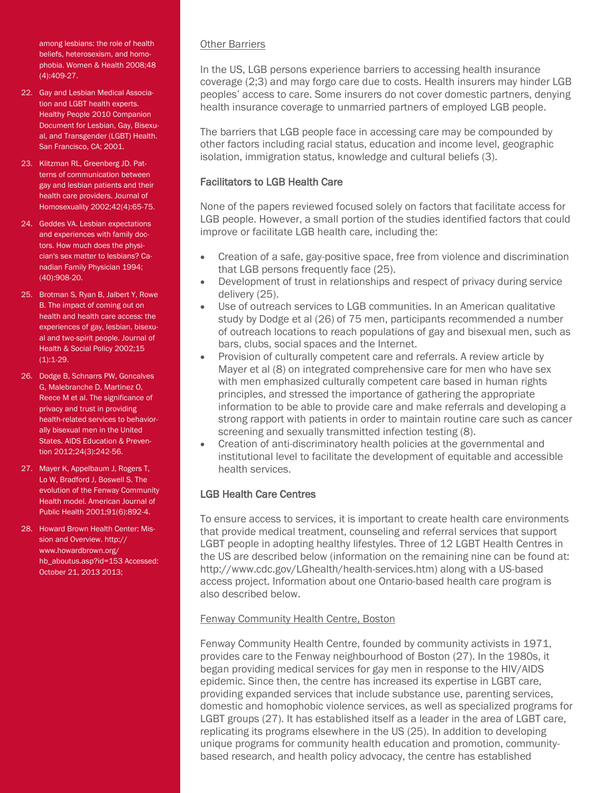among lesbians: the role of health beliefs, heterosexism, and homophobia. Women & Health 2008;48 (4):409-27.

- 22. Gay and Lesbian Medical Association and LGBT health experts. Healthy People 2010 Companion Document for Lesbian, Gay, Bisexual, and Transgender (LGBT) Health. San Francisco, CA; 2001.
- 23. Klitzman RL, Greenberg JD. Patterns of communication between gay and lesbian patients and their health care providers. Journal of Homosexuality 2002;42(4):65-75.
- 24. Geddes VA. Lesbian expectations and experiences with family doctors. How much does the physician's sex matter to lesbians? Canadian Family Physician 1994; (40):908-20.
- 25. Brotman S, Ryan B, Jalbert Y, Rowe B. The impact of coming out on health and health care access: the experiences of gay, lesbian, bisexual and two-spirit people. Journal of Health & Social Policy 2002;15  $(1):1-29.$
- 26. Dodge B, Schnarrs PW, Goncalves G, Malebranche D, Martinez O, Reece M et al. The significance of privacy and trust in providing health-related services to behaviorally bisexual men in the United States. AIDS Education & Prevention 2012;24(3):242-56.
- 27. Mayer K, Appelbaum J, Rogers T, Lo W, Bradford J, Boswell S. The evolution of the Fenway Community Health model. American Journal of Public Health 2001;91(6):892-4.
- 28. Howard Brown Health Center: Mission and Overview. http:// www.howardbrown.org/ hb\_aboutus.asp?id=153 Accessed: October 21, 2013 2013;

#### Other Barriers

In the US, LGB persons experience barriers to accessing health insurance coverage (2;3) and may forgo care due to costs. Health insurers may hinder LGB peoples' access to care. Some insurers do not cover domestic partners, denying health insurance coverage to unmarried partners of employed LGB people.

The barriers that LGB people face in accessing care may be compounded by other factors including racial status, education and income level, geographic isolation, immigration status, knowledge and cultural beliefs (3).

#### Facilitators to LGB Health Care

None of the papers reviewed focused solely on factors that facilitate access for LGB people. However, a small portion of the studies identified factors that could improve or facilitate LGB health care, including the:

- Creation of a safe, gay-positive space, free from violence and discrimination that LGB persons frequently face (25).
- Development of trust in relationships and respect of privacy during service delivery (25).
- Use of outreach services to LGB communities. In an American qualitative study by Dodge et al (26) of 75 men, participants recommended a number of outreach locations to reach populations of gay and bisexual men, such as bars, clubs, social spaces and the Internet.
- Provision of culturally competent care and referrals. A review article by Mayer et al (8) on integrated comprehensive care for men who have sex with men emphasized culturally competent care based in human rights principles, and stressed the importance of gathering the appropriate information to be able to provide care and make referrals and developing a strong rapport with patients in order to maintain routine care such as cancer screening and sexually transmitted infection testing (8).
- Creation of anti-discriminatory health policies at the governmental and institutional level to facilitate the development of equitable and accessible health services.

#### LGB Health Care Centres

To ensure access to services, it is important to create health care environments that provide medical treatment, counseling and referral services that support LGBT people in adopting healthy lifestyles. Three of 12 LGBT Health Centres in the US are described below (information on the remaining nine can be found at: http://www.cdc.gov/LGhealth/health-services.htm) along with a US-based access project. Information about one Ontario-based health care program is also described below.

#### Fenway Community Health Centre, Boston

Fenway Community Health Centre, founded by community activists in 1971, provides care to the Fenway neighbourhood of Boston (27). In the 1980s, it began providing medical services for gay men in response to the HIV/AIDS epidemic. Since then, the centre has increased its expertise in LGBT care, providing expanded services that include substance use, parenting services, domestic and homophobic violence services, as well as specialized programs for LGBT groups (27). It has established itself as a leader in the area of LGBT care, replicating its programs elsewhere in the US (25). In addition to developing unique programs for community health education and promotion, communitybased research, and health policy advocacy, the centre has established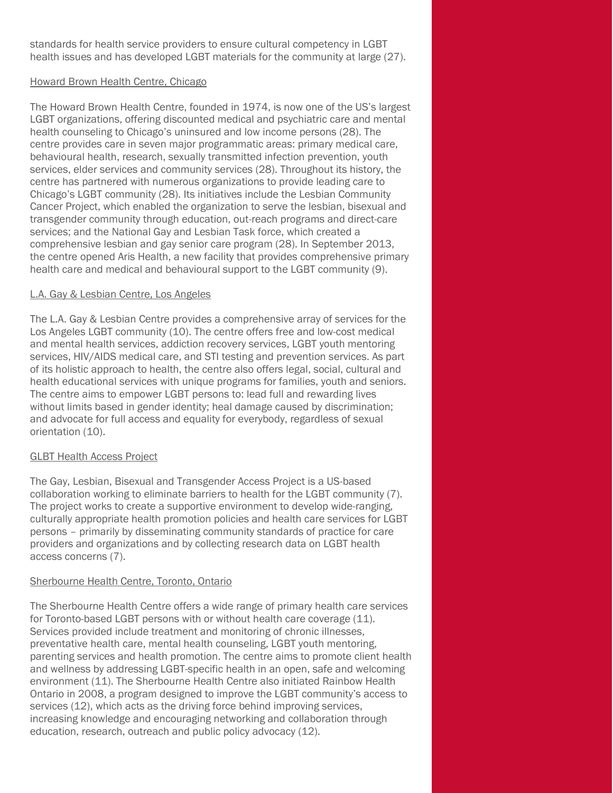standards for health service providers to ensure cultural competency in LGBT health issues and has developed LGBT materials for the community at large (27).

#### Howard Brown Health Centre, Chicago

The Howard Brown Health Centre, founded in 1974, is now one of the US's largest LGBT organizations, offering discounted medical and psychiatric care and mental health counseling to Chicago's uninsured and low income persons (28). The centre provides care in seven major programmatic areas: primary medical care, behavioural health, research, sexually transmitted infection prevention, youth services, elder services and community services (28). Throughout its history, the centre has partnered with numerous organizations to provide leading care to Chicago's LGBT community (28). Its initiatives include the Lesbian Community Cancer Project, which enabled the organization to serve the lesbian, bisexual and transgender community through education, out-reach programs and direct-care services; and the National Gay and Lesbian Task force, which created a comprehensive lesbian and gay senior care program (28). In September 2013, the centre opened Aris Health, a new facility that provides comprehensive primary health care and medical and behavioural support to the LGBT community (9).

#### L.A. Gay & Lesbian Centre, Los Angeles

The L.A. Gay & Lesbian Centre provides a comprehensive array of services for the Los Angeles LGBT community (10). The centre offers free and low-cost medical and mental health services, addiction recovery services, LGBT youth mentoring services, HIV/AIDS medical care, and STI testing and prevention services. As part of its holistic approach to health, the centre also offers legal, social, cultural and health educational services with unique programs for families, youth and seniors. The centre aims to empower LGBT persons to: lead full and rewarding lives without limits based in gender identity; heal damage caused by discrimination; and advocate for full access and equality for everybody, regardless of sexual orientation (10).

#### GLBT Health Access Project

The Gay, Lesbian, Bisexual and Transgender Access Project is a US-based collaboration working to eliminate barriers to health for the LGBT community (7). The project works to create a supportive environment to develop wide-ranging, culturally appropriate health promotion policies and health care services for LGBT persons – primarily by disseminating community standards of practice for care providers and organizations and by collecting research data on LGBT health access concerns (7).

#### Sherbourne Health Centre, Toronto, Ontario

The Sherbourne Health Centre offers a wide range of primary health care services for Toronto-based LGBT persons with or without health care coverage (11). Services provided include treatment and monitoring of chronic illnesses, preventative health care, mental health counseling, LGBT youth mentoring, parenting services and health promotion. The centre aims to promote client health and wellness by addressing LGBT-specific health in an open, safe and welcoming environment (11). The Sherbourne Health Centre also initiated Rainbow Health Ontario in 2008, a program designed to improve the LGBT community's access to services (12), which acts as the driving force behind improving services, increasing knowledge and encouraging networking and collaboration through education, research, outreach and public policy advocacy (12).